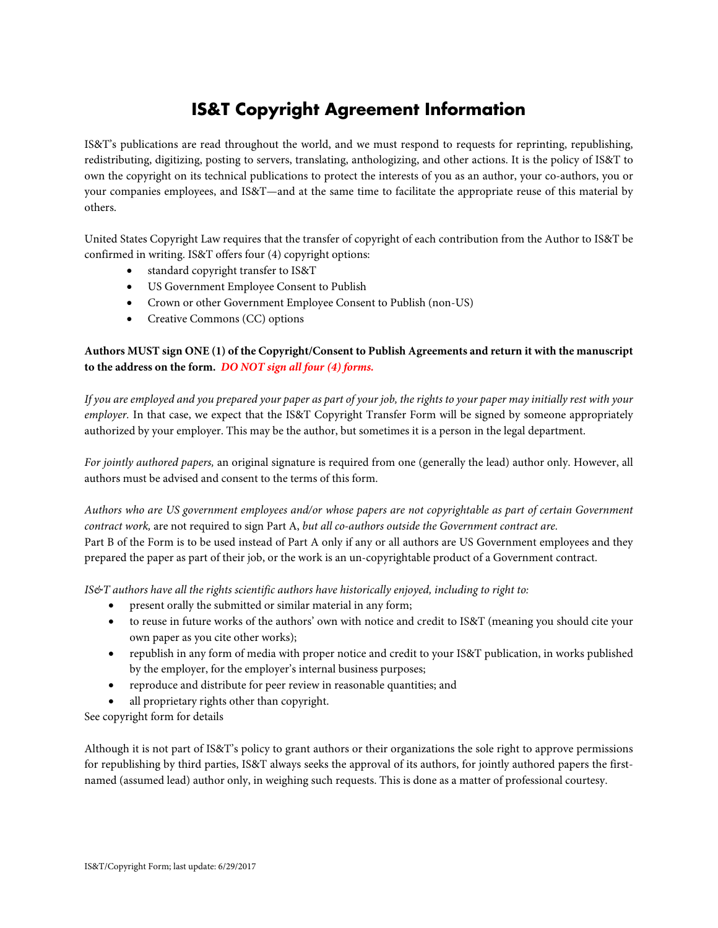# **IS&T Copyright Agreement Information**

IS&T's publications are read throughout the world, and we must respond to requests for reprinting, republishing, redistributing, digitizing, posting to servers, translating, anthologizing, and other actions. It is the policy of IS&T to own the copyright on its technical publications to protect the interests of you as an author, your co-authors, you or your companies employees, and IS&T—and at the same time to facilitate the appropriate reuse of this material by others.

United States Copyright Law requires that the transfer of copyright of each contribution from the Author to IS&T be confirmed in writing. IS&T offers four (4) copyright options:

- standard copyright transfer to IS&T
- US Government Employee Consent to Publish
- Crown or other Government Employee Consent to Publish (non-US)
- Creative Commons (CC) options

## **Authors MUST sign ONE (1) of the Copyright/Consent to Publish Agreements and return it with the manuscript to the address on the form.** *DO NOT sign all four (4) forms.*

*If you are employed and you prepared your paper as part of your job, the rights to your paper may initially rest with your employer.* In that case, we expect that the IS&T Copyright Transfer Form will be signed by someone appropriately authorized by your employer. This may be the author, but sometimes it is a person in the legal department.

*For jointly authored papers,* an original signature is required from one (generally the lead) author only. However, all authors must be advised and consent to the terms of this form.

*Authors who are US government employees and/or whose papers are not copyrightable as part of certain Government contract work,* are not required to sign Part A, *but all co-authors outside the Government contract are.* Part B of the Form is to be used instead of Part A only if any or all authors are US Government employees and they prepared the paper as part of their job, or the work is an un-copyrightable product of a Government contract.

*IS&T authors have all the rights scientific authors have historically enjoyed, including to right to:* 

- present orally the submitted or similar material in any form;
- to reuse in future works of the authors' own with notice and credit to IS&T (meaning you should cite your own paper as you cite other works);
- republish in any form of media with proper notice and credit to your IS&T publication, in works published by the employer, for the employer's internal business purposes;
- reproduce and distribute for peer review in reasonable quantities; and
- all proprietary rights other than copyright.

See copyright form for details

Although it is not part of IS&T's policy to grant authors or their organizations the sole right to approve permissions for republishing by third parties, IS&T always seeks the approval of its authors, for jointly authored papers the firstnamed (assumed lead) author only, in weighing such requests. This is done as a matter of professional courtesy.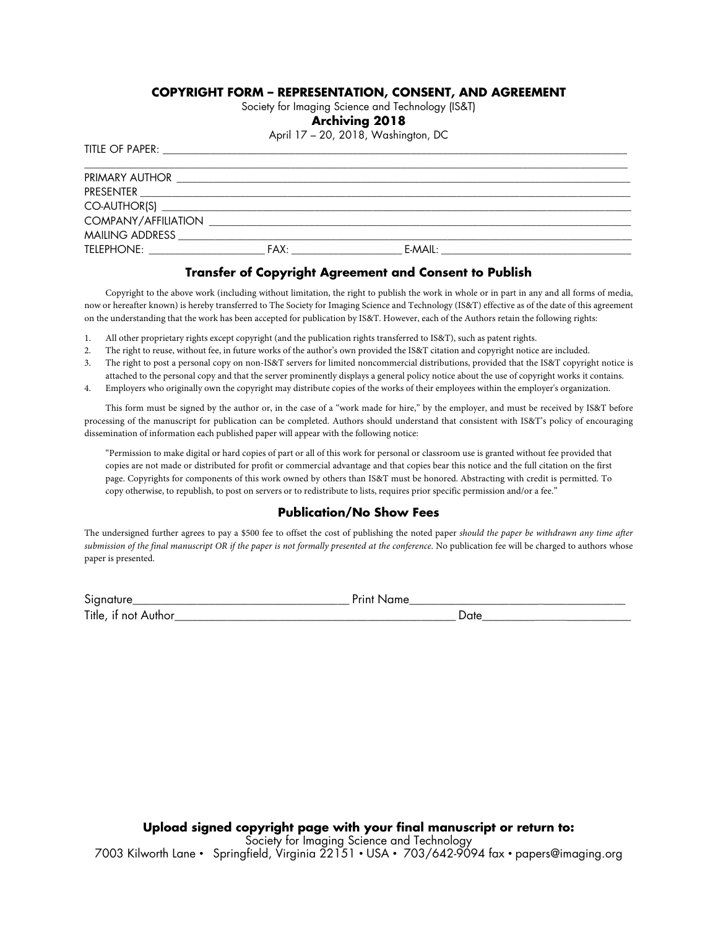### **COPYRIGHT FORM – REPRESENTATION, CONSENT, AND AGREEMENT**

Society for Imaging Science and Technology (IS&T)

#### **Archiving 2018**

April 17 – 20, 2018, Washington, DC

TITLE OF PAPER:

| PRIMARY AUTHOR                       |                                                                                                                       |           |
|--------------------------------------|-----------------------------------------------------------------------------------------------------------------------|-----------|
|                                      |                                                                                                                       |           |
|                                      |                                                                                                                       |           |
| COMPANY/AFFILIATION                  | <u> 1990 - Jan Barbara de Santo III, presentante en la contrada de la contrada de la contrada de la contrada de l</u> |           |
| MAILING ADDRESS MAILING AND A STREET |                                                                                                                       |           |
| TELEPHONE: TELEPHONE:                | FAX:                                                                                                                  | $F-MAll:$ |

#### **Transfer of Copyright Agreement and Consent to Publish**

Copyright to the above work (including without limitation, the right to publish the work in whole or in part in any and all forms of media, now or hereafter known) is hereby transferred to The Society for Imaging Science and Technology (IS&T) effective as of the date of this agreement on the understanding that the work has been accepted for publication by IS&T. However, each of the Authors retain the following rights:

- 1. All other proprietary rights except copyright (and the publication rights transferred to IS&T), such as patent rights.
- 2. The right to reuse, without fee, in future works of the author's own provided the IS&T citation and copyright notice are included.
- 3. The right to post a personal copy on non-IS&T servers for limited noncommercial distributions, provided that the IS&T copyright notice is attached to the personal copy and that the server prominently displays a general policy notice about the use of copyright works it contains.
- 4. Employers who originally own the copyright may distribute copies of the works of their employees within the employer's organization.

 This form must be signed by the author or, in the case of a "work made for hire," by the employer, and must be received by IS&T before processing of the manuscript for publication can be completed. Authors should understand that consistent with IS&T's policy of encouraging dissemination of information each published paper will appear with the following notice:

"Permission to make digital or hard copies of part or all of this work for personal or classroom use is granted without fee provided that copies are not made or distributed for profit or commercial advantage and that copies bear this notice and the full citation on the first page. Copyrights for components of this work owned by others than IS&T must be honored. Abstracting with credit is permitted. To copy otherwise, to republish, to post on servers or to redistribute to lists, requires prior specific permission and/or a fee."

## **Publication/No Show Fees**

The undersigned further agrees to pay a \$500 fee to offset the cost of publishing the noted paper *should the paper be withdrawn any time after submission of the final manuscript OR if the paper is not formally presented at the conference*. No publication fee will be charged to authors whose paper is presented.

| $\sim$ |  |
|--------|--|
| T<br>. |  |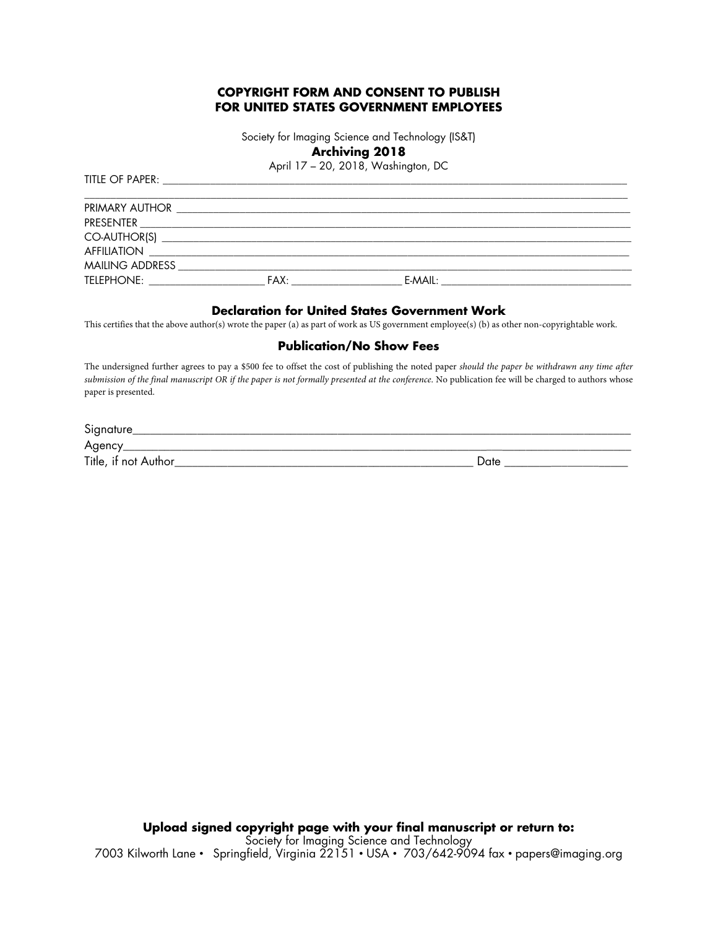## **COPYRIGHT FORM AND CONSENT TO PUBLISH FOR UNITED STATES GOVERNMENT EMPLOYEES**

Society for Imaging Science and Technology (IS&T) **Archiving 2018** 

April 17 – 20, 2018, Washington, DC

| TELEPHONE: New York Products and the Marine State of the Marine State of the Marine State of the Marine State International Action of the Marine State of the Marine State of the Marine State of the Marine State of the Mari | _FAX: _________________________ |  |
|--------------------------------------------------------------------------------------------------------------------------------------------------------------------------------------------------------------------------------|---------------------------------|--|

#### **Declaration for United States Government Work**

This certifies that the above author(s) wrote the paper (a) as part of work as US government employee(s) (b) as other non-copyrightable work.

#### **Publication/No Show Fees**

The undersigned further agrees to pay a \$500 fee to offset the cost of publishing the noted paper *should the paper be withdrawn any time after submission of the final manuscript OR if the paper is not formally presented at the conference*. No publication fee will be charged to authors whose paper is presented.

| Signature            |      |
|----------------------|------|
| Agency               |      |
| Title, if not Author | Date |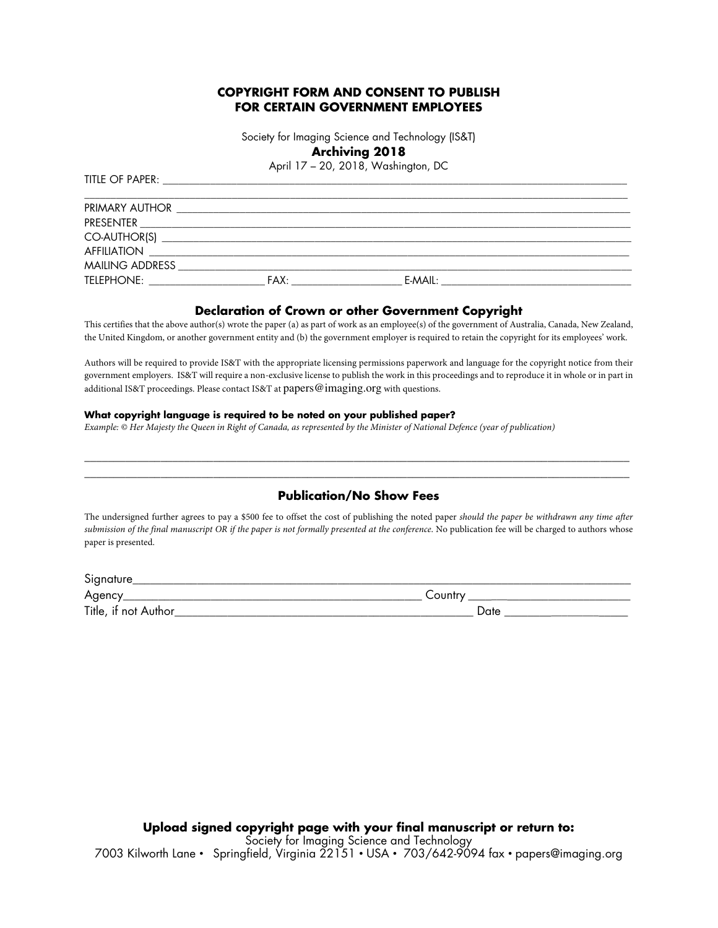## **COPYRIGHT FORM AND CONSENT TO PUBLISH FOR CERTAIN GOVERNMENT EMPLOYEES**

Society for Imaging Science and Technology (IS&T)

## **Archiving 2018**

April 17 – 20, 2018, Washington, DC

| PRIMARY AUTHOR                                  |                                                                                                                      |           |  |
|-------------------------------------------------|----------------------------------------------------------------------------------------------------------------------|-----------|--|
| PRESENTER                                       | <u> 1980 - Jan Barnett, mars et al. 1980 - Antonio Alemania, amerikan personal eta alderdizional eta alderdizion</u> |           |  |
|                                                 |                                                                                                                      |           |  |
| <b>AFFILIATION</b>                              |                                                                                                                      |           |  |
| MAILING ADDRESS                                 |                                                                                                                      |           |  |
| TELEPHONE:<br>and the control of the control of | FAX:                                                                                                                 | $E-MAIL:$ |  |

#### **Declaration of Crown or other Government Copyright**

This certifies that the above author(s) wrote the paper (a) as part of work as an employee(s) of the government of Australia, Canada, New Zealand, the United Kingdom, or another government entity and (b) the government employer is required to retain the copyright for its employees' work.

Authors will be required to provide IS&T with the appropriate licensing permissions paperwork and language for the copyright notice from their government employers. IS&T will require a non-exclusive license to publish the work in this proceedings and to reproduce it in whole or in part in additional IS&T proceedings. Please contact IS&T at papers@imaging.org with questions.

#### **What copyright language is required to be noted on your published paper?**

TITLE OF PAPER:

*Example: © Her Majesty the Queen in Right of Canada, as represented by the Minister of National Defence (year of publication)* 

## $\overline{a_1}$  ,  $\overline{a_2}$  ,  $\overline{a_3}$  ,  $\overline{a_4}$  ,  $\overline{a_5}$  ,  $\overline{a_6}$  ,  $\overline{a_7}$  ,  $\overline{a_8}$  ,  $\overline{a_9}$  ,  $\overline{a_9}$  ,  $\overline{a_9}$  ,  $\overline{a_9}$  ,  $\overline{a_9}$  ,  $\overline{a_9}$  ,  $\overline{a_9}$  ,  $\overline{a_9}$  ,  $\overline{a_9}$  , **Publication/No Show Fees**

 $\_$  ,  $\_$  ,  $\_$  ,  $\_$  ,  $\_$  ,  $\_$  ,  $\_$  ,  $\_$  ,  $\_$  ,  $\_$  ,  $\_$  ,  $\_$  ,  $\_$  ,  $\_$  ,  $\_$  ,  $\_$  ,  $\_$  ,  $\_$  ,  $\_$  ,  $\_$  ,  $\_$  ,  $\_$  ,  $\_$  ,  $\_$  ,  $\_$  ,  $\_$  ,  $\_$  ,  $\_$  ,  $\_$  ,  $\_$  ,  $\_$  ,  $\_$  ,  $\_$  ,  $\_$  ,  $\_$  ,  $\_$  ,  $\_$  ,

The undersigned further agrees to pay a \$500 fee to offset the cost of publishing the noted paper *should the paper be withdrawn any time after submission of the final manuscript OR if the paper is not formally presented at the conference*. No publication fee will be charged to authors whose paper is presented.

| Signature            |       |
|----------------------|-------|
| Agency               | ∠ount |
| Title, if not Author | ៶∼    |